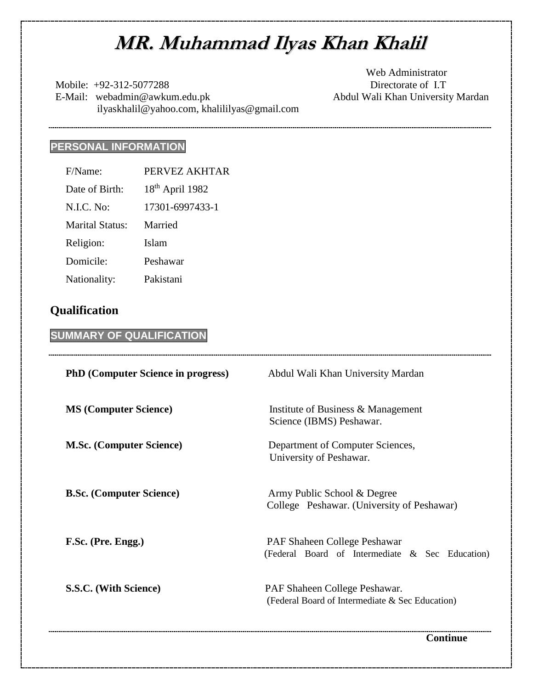# **MR. Muhammad Ilyas Khan Khalil**

Mobile:  $+92-312-5077288$  Directorate of I.T E-Mail: webadmin@awkum.edu.pk Abdul Wali Khan University Mardan ilyaskhalil@yahoo.com, khalililyas@gmail.com

Web Administrator

# **PERSONAL INFORMATION**

| F/Name:                | PERVEZ AKHTAR     |
|------------------------|-------------------|
| Date of Birth:         | $18th$ April 1982 |
| N.I.C. No:             | 17301-6997433-1   |
| <b>Marital Status:</b> | Married           |
| Religion:              | Islam             |
| Domicile:              | Peshawar          |
| Nationality:           | Pakistani         |

# **Qualification**

# **SUMMARY OF QUALIFICATION**

| <b>PhD</b> (Computer Science in progress) | Abdul Wali Khan University Mardan                                                |  |  |  |
|-------------------------------------------|----------------------------------------------------------------------------------|--|--|--|
| <b>MS (Computer Science)</b>              | Institute of Business & Management<br>Science (IBMS) Peshawar.                   |  |  |  |
| <b>M.Sc. (Computer Science)</b>           | Department of Computer Sciences,<br>University of Peshawar.                      |  |  |  |
| <b>B.Sc.</b> (Computer Science)           | Army Public School & Degree<br>College Peshawar. (University of Peshawar)        |  |  |  |
| F.Sc. (Pre. Engg.)                        | PAF Shaheen College Peshawar<br>(Federal Board of Intermediate & Sec Education)  |  |  |  |
| S.S.C. (With Science)                     | PAF Shaheen College Peshawar.<br>(Federal Board of Intermediate & Sec Education) |  |  |  |

**Continue**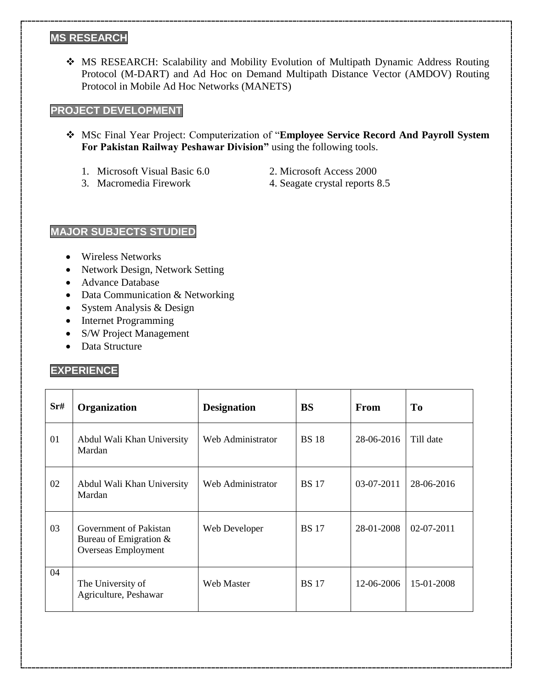#### **MS RESEARCH**

 MS RESEARCH: Scalability and Mobility Evolution of Multipath Dynamic Address Routing Protocol (M-DART) and Ad Hoc on Demand Multipath Distance Vector (AMDOV) Routing Protocol in Mobile Ad Hoc Networks (MANETS)

#### **PROJECT DEVELOPMENT**

- MSc Final Year Project: Computerization of "**Employee Service Record And Payroll System For Pakistan Railway Peshawar Division"** using the following tools.
	- 1. Microsoft Visual Basic 6.0 2. Microsoft Access 2000
		-
- 
- 3. Macromedia Firework 4. Seagate crystal reports 8.5

## **MAJOR SUBJECTS STUDIED**

- Wireless Networks
- Network Design, Network Setting
- Advance Database
- Data Communication & Networking
- System Analysis & Design
- Internet Programming
- S/W Project Management
- Data Structure

## **EXPERIENCE**

| Sr# | <b>Organization</b>                                                       | <b>Designation</b> | <b>BS</b>    | From         | T <sub>0</sub> |
|-----|---------------------------------------------------------------------------|--------------------|--------------|--------------|----------------|
| 01  | Abdul Wali Khan University<br>Mardan                                      | Web Administrator  | <b>BS</b> 18 | 28-06-2016   | Till date      |
| 02  | Abdul Wali Khan University<br>Mardan                                      | Web Administrator  | <b>BS</b> 17 | $03-07-2011$ | 28-06-2016     |
| 03  | Government of Pakistan<br>Bureau of Emigration $&$<br>Overseas Employment | Web Developer      | <b>BS</b> 17 | 28-01-2008   | $02-07-2011$   |
| 04  | The University of<br>Agriculture, Peshawar                                | <b>Web Master</b>  | <b>BS</b> 17 | 12-06-2006   | 15-01-2008     |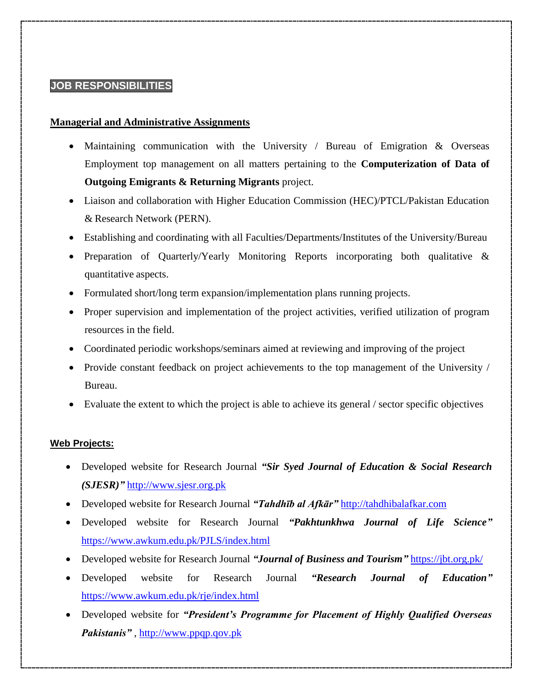## **JOB RESPONSIBILITIES**

#### **Managerial and Administrative Assignments**

- Maintaining communication with the University / Bureau of Emigration & Overseas Employment top management on all matters pertaining to the **Computerization of Data of Outgoing Emigrants & Returning Migrants** project.
- Liaison and collaboration with Higher Education Commission (HEC)/PTCL/Pakistan Education & Research Network (PERN).
- Establishing and coordinating with all Faculties/Departments/Institutes of the University/Bureau
- Preparation of Quarterly/Yearly Monitoring Reports incorporating both qualitative & quantitative aspects.
- Formulated short/long term expansion/implementation plans running projects.
- Proper supervision and implementation of the project activities, verified utilization of program resources in the field.
- Coordinated periodic workshops/seminars aimed at reviewing and improving of the project
- Provide constant feedback on project achievements to the top management of the University / Bureau.
- Evaluate the extent to which the project is able to achieve its general / sector specific objectives

#### **Web Projects:**

- Developed website for Research Journal *"Sir Syed Journal of Education & Social Research (SJESR)"* [http://www.sjesr.org.pk](http://www.sjesr.org.pk/)
- Developed website for Research Journal *"Tahdhīb al Afkār"* [http://tahdhibalafkar.com](http://tahdhibalafkar.com/)
- Developed website for Research Journal *"Pakhtunkhwa Journal of Life Science"* <https://www.awkum.edu.pk/PJLS/index.html>
- Developed website for Research Journal *"Journal of Business and Tourism"* <https://jbt.org.pk/>
- Developed website for Research Journal *"Research Journal of Education"* <https://www.awkum.edu.pk/rje/index.html>
- Developed website for *"President's Programme for Placement of Highly Qualified Overseas Pakistanis"* , [http://www.ppqp.qov.pk](http://www.ppqp.qov.pk/)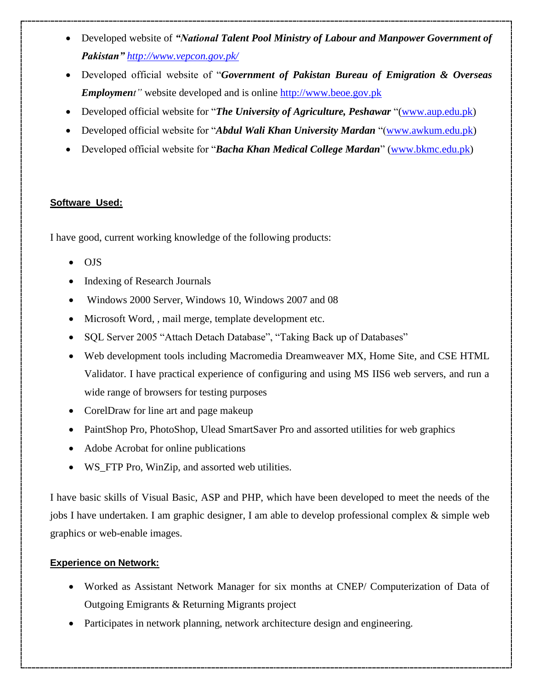- Developed website of *"National Talent Pool Ministry of Labour and Manpower Government of Pakistan" <http://www.vepcon.gov.pk/>*
- Developed official website of "*Government of Pakistan Bureau of Emigration & Overseas Employment"* website developed and is online [http://www.beoe.gov.pk](http://www.beoe.gov.pk/)
- Developed official website for "*The University of Agriculture, Peshawar* "[\(www.aup.edu.pk\)](http://www.aup.edu.pk/)
- Developed official website for "*Abdul Wali Khan University Mardan* "[\(www.awkum.edu.pk\)](http://www.awkum.edu.pk/)
- Developed official website for "*Bacha Khan Medical College Mardan*" [\(www.bkmc.edu.pk\)](http://www.bkmc.edu.pk/)

#### **Software Used:**

I have good, current working knowledge of the following products:

- OJS
- Indexing of Research Journals
- Windows 2000 Server, Windows 10, Windows 2007 and 08
- Microsoft Word, , mail merge, template development etc.
- SQL Server 2005 "Attach Detach Database", "Taking Back up of Databases"
- Web development tools including Macromedia Dreamweaver MX, Home Site, and CSE HTML Validator. I have practical experience of configuring and using MS IIS6 web servers, and run a wide range of browsers for testing purposes
- CorelDraw for line art and page makeup
- PaintShop Pro, PhotoShop, Ulead SmartSaver Pro and assorted utilities for web graphics
- Adobe Acrobat for online publications
- WS\_FTP Pro, WinZip, and assorted web utilities.

I have basic skills of Visual Basic, ASP and PHP, which have been developed to meet the needs of the jobs I have undertaken. I am graphic designer, I am able to develop professional complex & simple web graphics or web-enable images.

#### **Experience on Network:**

- Worked as Assistant Network Manager for six months at CNEP/ Computerization of Data of Outgoing Emigrants & Returning Migrants project
- Participates in network planning, network architecture design and engineering.